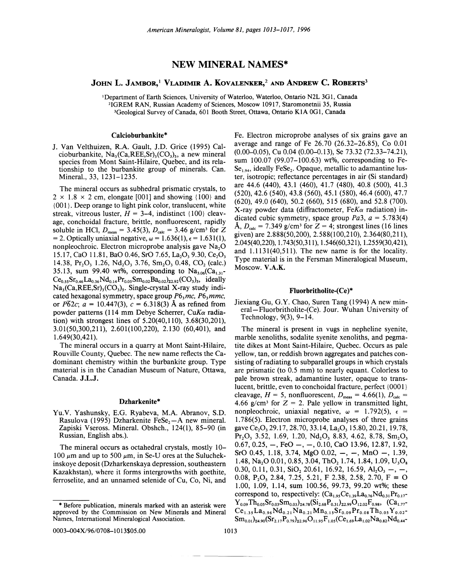# **NEW MINERAL NAMES\***

# JOHN L. JAMBOR.<sup>1</sup> VLADIMIR A. KOVALENKER.<sup>2</sup> AND ANDREW C. ROBERTS<sup>3</sup>

<sup>1</sup>Department of Earth Sciences, University of Waterloo, Waterloo, Ontario N2L 3G1, Canada <sup>2</sup>IGREM RAN, Russian Academy of Sciences, Moscow 10917, Staromonetnii 35, Russia <sup>3</sup>Geological Survey of Canada, 601 Booth Street, Ottawa, Ontario K1A 0G1, Canada

## Calcioburbankite\*

J. Van Velthuizen, R.A. Gault, J.D. Grice (1995) Calcioburbankite,  $Na_3(Ca,REE, Sr)$ <sub>3</sub>(CO<sub>3</sub>)<sub>5</sub>, a new mineral species from Mont Saint-Hilaire, Ouebec, and its relationship to the burbankite group of minerals. Can. Mineral., 33, 1231-1235.

The mineral occurs as subhedral prismatic crystals, to  $2 \times 1.8 \times 2$  cm, elongate [001] and showing {100} and {001}. Deep orange to light pink color, translucent, white streak, vitreous luster,  $H = 3-4$ , indistinct {100} cleavage, conchoidal fracture, brittle, nonfluorescent, rapidly soluble in HCl,  $D_{\text{meas}} = 3.45(3)$ ,  $D_{\text{calc}} = 3.46$  g/cm<sup>3</sup> for Z = 2. Optically uniaxial negative,  $\omega$  = 1.636(1),  $\epsilon$  = 1.631(1), nonpleochroic. Electron microprobe analysis gave Na<sub>2</sub>O 15.17, CaO 11.81, BaO 0.46, SrO 7.65, La<sub>2</sub>O<sub>3</sub> 9.30, Ce<sub>2</sub>O<sub>3</sub> 14.38, Pr<sub>2</sub>O<sub>3</sub> 1.26, Nd<sub>2</sub>O<sub>3</sub> 3.76, Sm<sub>2</sub>O<sub>3</sub> 0.48, CO<sub>2</sub> (calc.) 35.13, sum 99.40 wt%, corresponding to  $Na<sub>3.06</sub>(Ca<sub>1.31</sub> Ce_{0.55}Sr_{0.46}La_{0.36}Nd_{0.14}Pr_{0.05}Sm_{0.02}Ba_{0.02})_{\text{Z2},92}(CO_3)_{5}$ , ideally  $Na_3(Ca,REE, Sr)$ ,  $(CO_3)$ , Single-crystal X-ray study indicated hexagonal symmetry, space group  $P6$ , mc,  $P6$ , mmc, or  $\overline{P62c}$ ;  $a = 10.447(3)$ ,  $c = 6.318(3)$  Å as refined from powder patterns (114 mm Debye Scherrer, CuK $\alpha$  radiation) with strongest lines of  $5.20(40, 110)$ ,  $3.68(30, 201)$ , 3.01(50.300.211), 2.601(100.220), 2.130 (60.401), and  $1.649(30, 421)$ .

The mineral occurs in a quarry at Mont Saint-Hilaire, Rouville County, Quebec. The new name reflects the Cadominant chemistry within the burbankite group. Type material is in the Canadian Museum of Nature, Ottawa, Canada. J.L.J.

## Dzharkenite\*

Yu.V. Yashunsky, E.G. Ryabeva, M.A. Abranov, S.D. Rasulova (1995) Dzharkenite  $\text{FeSe}_2$ —A new mineral. Zapiski Vseross. Mineral. Obshch., 124(1), 85–90 (in Russian, English abs.).

The mineral occurs as octahedral crystals, mostly 10– 100  $\mu$ m and up to 500  $\mu$ m, in Se-U ores at the Suluchekinskoye deposit (Dzharkenskaya depression, southeastern Kazakhstan), where it forms intergrowths with goethite, ferroselite, and an unnamed selenide of Cu, Co, Ni, and Fe. Electron microprobe analyses of six grains gave an average and range of Fe 26.70 (26.32–26.85), Co 0.01  $(0.00-0.05)$ , Cu 0.04  $(0.00-0.13)$ , Se 73.32  $(72.33-74.21)$ , sum 100.07 (99.07–100.63) wt%, corresponding to Fe- $Se<sub>1.94</sub>$ , ideally FeSe<sub>2</sub>. Opaque, metallic to adamantine luster, isotropic: reflectance percentages in air (Si standard) are 44.6 (440), 43.1 (460), 41.7 (480), 40.8 (500), 41.3  $(520)$ , 42.6  $(540)$ , 43.8  $(560)$ , 45.1  $(580)$ , 46.4  $(600)$ , 47.7 (620), 49.0 (640), 50.2 (660), 515 (680), and 52.8 (700). X-ray powder data (diffractometer,  $FeK\alpha$  radiation) indicated cubic symmetry, space group Pa3,  $a = 5.783(4)$ Å,  $D_{\text{calc}}$  = 7.349 g/cm<sup>3</sup> for Z = 4; strongest lines (16 lines given) are 2.888(50,200), 2.588(100,210), 2.364(80,211), 2.045(40,220), 1.743(50,311), 1.546(60,321), 1.2559(30,421), and 1.1131(40.511). The new name is for the locality. Type material is in the Fersman Mineralogical Museum, Moscow. V.A.K.

#### Fluorbritholite-(Ce)\*

Jiexiang Gu, G.Y. Chao, Suren Tang (1994) A new mineral-Fluorbritholite-(Ce). Jour. Wuhan University of Technology,  $9(3)$ ,  $9-14$ .

The mineral is present in vugs in nepheline syenite, marble xenoliths, sodalite svenite xenoliths, and pegmatite dikes at Mont Saint-Hilaire, Quebec. Occurs as pale yellow, tan, or reddish brown aggregates and patches consisting of radiating to subparallel groups in which crystals are prismatic (to 0.5 mm) to nearly equant. Colorless to pale brown streak, adamantine luster, opaque to translucent, brittle, even to conchoidal fracture, perfect {0001} cleavage,  $H = 5$ , nonfluorescent,  $D_{\text{meas}} = 4.66(1)$ ,  $D_{\text{calc}} =$ 4.66 g/cm<sup>3</sup> for  $Z = 2$ . Pale yellow in transmitted light, nonpleochroic, uniaxial negative,  $\omega = 1.792(5)$ ,  $\epsilon =$ 1.786(5). Electron microprobe analyses of three grains gave Ce<sub>2</sub>O<sub>2</sub>, 29.17, 28.70, 33.14, La<sub>2</sub>O<sub>3</sub>, 15.80, 20.21, 19.78,  $Pr_2O_3$ , 3.52, 1.69, 1.20, Nd<sub>2</sub>O<sub>3</sub>, 8.83, 4.62, 8.78, Sm<sub>2</sub>O<sub>3</sub>  $0.67, 0.25, -$ , FeO -, -, 0.10, CaO 13.96, 12.87, 1.92, SrO 0.45, 1.18, 3.74, MgO 0.02,  $-$ ,  $-$ , MnO  $-$ , 1.39, 1.48, Na<sub>2</sub>O 0.01, 0.85, 3.04, ThO<sub>2</sub> 1.74, 1.84, 1.09, U<sub>3</sub>O<sub>8</sub> 0.30, 0.11, 0.31,  $SiO<sub>2</sub>$  20.61, 16.92, 16.59,  $Al<sub>2</sub>O<sub>3</sub>$  -, -, 0.08, P<sub>2</sub>O<sub>2</sub>, 2.84, 7.25, 5.21, F 2.38, 2.58, 2.70, F  $\equiv$  O 1.00, 1.09, 1.14, sum 100.56, 99.73, 99.20 wt%; these correspond to, respectively:  $(Ca_{1.95}Ce_{1.39}La_{0.76}Nd_{0.31}Pr_{0.17}$  $Y_{0.09}$ Th<sub>0.05</sub>Sr<sub>0.03</sub>Sm<sub>0.03</sub>)<sub>z4.78</sub>(Si<sub>2.68</sub>P<sub>0.31</sub>)<sub>z2.99</sub>O<sub>12.02</sub>F<sub>0.98</sub>, (Ca<sub>1.77</sub>  $Ce_{1.35}La_{0.96}Nd_{0.21}Na_{0.21}Mn_{0.15}Sr_{0.09}Pr_{0.08}Th_{0.05}Y_{0.02}$  $\rm Sm_{0.01}$ <sub>24.90</sub> $\rm (Sr_{2.17}P_{0.79})_{22.96}O_{11.95}F_{1.05}$  $\rm (Ce_{1.69}La_{1.02}Na_{0.82}Nd_{0.44}$ 

<sup>\*</sup> Before publication, minerals marked with an asterisk were approved by the Commission on New Minerals and Mineral Names, International Mineralogical Association.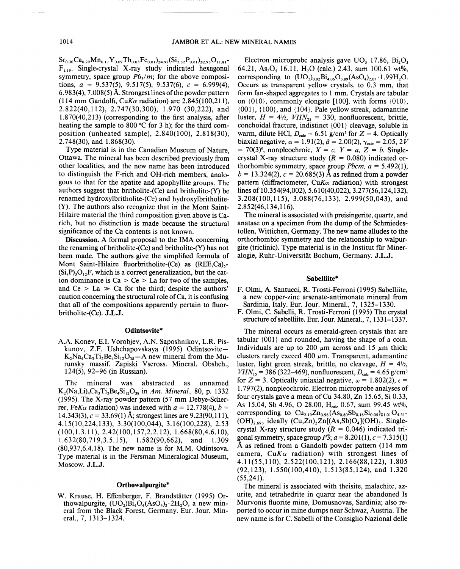$Sr_{0.30}Ca_{0.29}Mn_{0.17}Y_{0.09}Th_{0.03}Fe_{0.01})_{24.92}(Si_{2.32}P_{0.61})_{22.93}O_{11.81}$  $F_{1,19}$ . Single-crystal X-ray study indicated hexagonal symmetry, space group  $P6<sub>3</sub>/m$ ; for the above compositions,  $a = 9.537(5)$ ,  $9.517(5)$ ,  $9.537(6)$ ,  $c = 6.999(4)$ , 6.983(4), 7.008(5) A. Strongest lines of the powder pattern (114 mm Gandolfi,  $CuK_{\alpha}$  radiation) are 2.845(100,211). 2.822(40,112), 2.747(30,300), 1.970 (30,222), and 1.870(40,213) (corresponding to the first analysis, after heating the sample to 800°C for 3 h); for the third composition (unheated sample), 2.840(100), 2.818(30), 2.748(30), and 1.868(30).

Type material is in the Canadian Museum of Nature, Ottawa. The mineral has been described previously from other localities, and the new name has been introduced to distinguish the F-rich and OH-rich members, analogous to that for the apatite and apophyllite groups. The authors suggest that britholite-(Ce) and britholite-(Y) be renamed hydroxylbritholite-(Ce) and hydroxylbritholite- (Y). The authors also recognize that in the Mont Saint-Hilaire material the third composition given above is Carich, but no distinction is made because the structural significance of the Ca contents is not known.

Discussion. A formal proposal to the IMA concerning the renaming of britholite-(Ce) and britholite- $(Y)$  has not been made. The authors give the simplified formula of Mont Saint-Hilaire fluorbritholite-(Ce) as (REE,Ca).- $(Si, P)<sub>3</sub>O<sub>12</sub>F$ , which is a correct generalization, but the cation dominance is  $Ca > Ce > La$  for two of the samples, and Ce  $>$  La  $>$  Ca for the third; despite the authors' caution concerning the structural role of  $Ca$ , it is confusing that all of the compositions apparently pertain to fluorbritholite-(Ce). J.L.J.

#### Odintsovite\*

A.A. Konev, E.I. Vorobjev, A.N. Saposhnikov, L.R. Piskunov, Z.F. Ushchapovskaya (1995) Odintsovite- $K_2Na_4Ca_3Ti_2Be_4Si_{12}O_{38}-A$  new mineral from the Murunsky massif. Zapiski Vseross. Mineral. Obshch., 124(5), 92-96 (in Russian).

The mineral was abstracted as unnamed K<sub>2</sub>(Na,Li)<sub>4</sub>Ca<sub>3</sub>Ti<sub>2</sub>Be<sub>4</sub>Si<sub>12</sub>O<sub>38</sub> in *Am. Mineral.*, 80, p. 1332 (1995). The X-ray powder pattern (57 mm Debye-Scherrer, Fe $K_{\alpha}$  radiation) was indexed with  $a = 12.778(4)$ ,  $b =$ 14.343(3),  $c = 33.69(1)$  Å; strongest lines are 9.23(90,111), 4.15(10,224,133),3.30(100,044),3.16(100,228),2.53 (100,1.3.11),2.42(100,157,2.2.12), 1.668(80,4.6.10), 1.632(80, 7 19,3.5. 15), 1.582(90,662), and 1.309 (80,937,6.4.18). The new name is for M.M. Odintsova. Type material is in the Fersman Mineralogical Museum, Moscow. J.L.J.

## Orthowalpurgite\*

W. Krause, H. Effenberger, F. Brandstätter (1995) Orthowalpurgite,  $(UO<sub>2</sub>)Bi<sub>4</sub>O<sub>4</sub>(AsO<sub>4</sub>)<sub>2</sub>·2H<sub>2</sub>O$ , a new mineral from the Black Forest, Germany. Eur. Jour. Mineral., 7, 1313-1324.

Electron microprobe analysis gave UO<sub>3</sub> 17.86, Bi<sub>2</sub>O<sub>3</sub> 64.21, As<sub>2</sub>O<sub>5</sub> 16.11, H<sub>2</sub>O (calc.) 2.43, sum 100.61 wt%, corresponding to  $(UO<sub>2</sub>)<sub>0.92</sub>Bi<sub>4.06</sub>O<sub>3.89</sub>(AsO<sub>4</sub>)<sub>2.07</sub>·1.99H<sub>2</sub>O.$ Occurs as transparent yellow crystals, to 0.3 mm, that form fan-shaped aggregates to 1 mm. Crystals are tabular on  $\{010\}$ , commonly elongate [100], with forms  $\{010\}$ ,  $\{001\}$ ,  $\{100\}$ , and  $\{104\}$ . Pale yellow streak, adamantine luster,  $H = 4\frac{1}{2}$ ,  $VHN_{25} = 330$ , nonfluorescent, brittle, conchoidal fracture, indistinct {OOI} cleavage, soluble in warm, dilute HCl,  $D_{\text{calc}} = 6.51$  g/cm<sup>3</sup> for  $Z = 4$ . Optically biaxial negative,  $\alpha = 1.91(2)$ ,  $\beta = 2.00(2)$ ,  $\gamma_{\text{calc}} = 2.05$ , 2*V*  $= 70(3)$ °, nonpleochroic,  $X = c$ ,  $Y = a$ ,  $Z = b$ . Singlecrystal X-ray structure study  $(R = 0.080)$  indicated orthorhombic symmetry, space group *Pbcm*,  $a = 5.492(1)$ ,  $b = 13.324(2)$ ,  $c = 20.685(3)$  Å as refined from a powder pattern (diffractometer,  $CuK\alpha$  radiation) with strongest lines of 10.354(94,002), 5.610(40,022), 3.277(56,124,132), 3.208(100,115), 3.088(76,133), 2.999(50,043), and 2.852( 46,134,116).

The mineral is associated with preisingerite, quartz, and anatase on a specimen from the dump of the Schmiedestollen, Wittichen, Germany. The new name alludes to the orthorhombic symmetry and the relationship to walpurgite (triclinic). Type material is in the Institut fur Mineralogie, Ruhr-Universität Bochum, Germany. J.L.J.

## Sabelliite\*

- F. Olmi, A. Santucci, R. Trosti-Ferroni (1995) Sabelliite, a new copper-zinc arsenate-antimonate mineral from Sardinia, Italy. Eur. Jour. Mineral., 7, 1325-1330.
- F. Olmi, C. Sabelli, R. Trosti-Ferroni (1995) The crystal structure ofsabelliite. Eur. Jour. Mineral., 7, 1331-1337.

The mineral occurs as emerald-green crystals that are tabular {001} and rounded, having the shape of a coin. Individuals are up to 200  $\mu$ m across and 15  $\mu$ m thick; clusters rarely exceed 400  $\mu$ m. Transparent, adamantine luster, light green streak, brittle, no cleavage,  $H = 4\frac{1}{2}$ , *VHN*<sub>15</sub> = 386 (322–469), nonfluorescent,  $D_{\text{calc}}$  = 4.65 g/cm<sup>3</sup> for  $Z = 3$ . Optically uniaxial negative,  $\omega = 1.802(2)$ ,  $\epsilon =$ 1.797(2), nonpleochroic. Electron microprobe analyses of four crystals gave a mean of Cu 34.80, Zn 15.65, Si 0.33, As 15.04, Sb 4.96, O 28.00, H<sub>calc</sub> 0.67, sum 99.45 wt%, corresponding to  $Cu_{2.19}Zn_{0.96} (As_{0.80}Sb_{0.16}Si_{0.05})_{21.01}O_{4.31}$ - $(OH)_{2.69}$ , ideally  $(Cu,Zn)$ ,  $Zn[(As,Sb)O<sub>4</sub>](OH)$ <sub>3</sub>. Singlecrystal X-ray structure study  $(R = 0.046)$  indicated trigonal symmetry, space group  $\overline{P3}$ ;  $a = 8.201(1)$ ,  $c = 7.315(1)$ A as refined from a Gandolfi powder pattern (114 mm camera,  $CuK\alpha$  radiation) with strongest lines of 4.11(55,110),2.522(100,121),2.166(88,122), 1.805 (92,123), 1.550(100,410), 1.513(85,124), and 1.320 (55,241).

The mineral is associated with theisite, malachite, azurite, and tetrahedrite in quartz near the abandoned Is Murvonis fluorite mine, Domusnovas, Sardinia; also reported to occur in mine dumps near Schwaz, Austria. The new name is for C. Sabelli of the Consiglio Nazional delle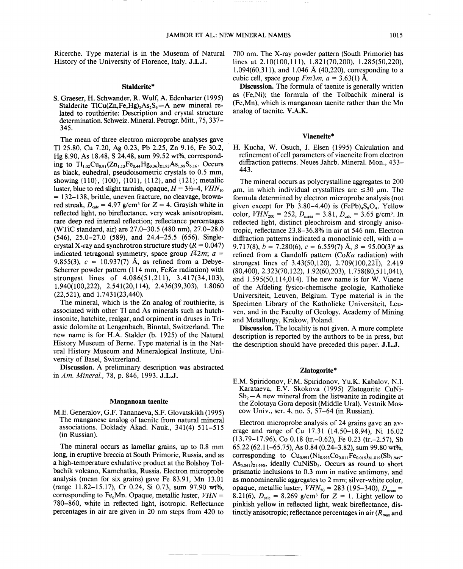Ricerche. Type material is in the Museum of Natural History of the University of Florence, Italy. J.L.J.

#### Stalderite\*

S. Graeser, H. Schwander, R. Wulf, A. Edenharter (1995) Stalderite TlCu(Zn,Fe,Hg)<sub>2</sub>As<sub>2</sub>S<sub>6</sub> $-A$  new mineral related to routhierite: Description and crystal structure determination. Schweiz. Mineral. Petrogr. Mitt., 75, 337-345.

The mean of three electron microprobe analyses gave TI 25.80, Cu 7.20, Ag 0.23, Pb 2.25, Zn 9.16, Fe 30.2, Hg 8.90, As 18.48, S 24.48, sum 99.52 wt%, corresponding to  $Tl_{1.02}Cu_{0.91}(Zn_{1.13}Fe_{0.44}Hg_{0.36})_{\Sigma1.93}As_{1.99}S_{6.16}$ . Occurs as black, euhedral, pseudoisometric crystals to 0.5 mm, showing  $\{110\}$ ,  $\{100\}$ ,  $\{101\}$ ,  $\{112\}$ , and  $\{121\}$ ; metallic luster, blue to red slight tarnish, opaque,  $H = 3\frac{1}{2} - 4$ ,  $VHN_{10}$  $= 132-138$ , brittle, uneven fracture, no cleavage, brownred streak,  $D_{\text{calc}} = 4.97 \text{ g/cm}^3$  for  $Z = 4$ . Grayish white in reflected light, no bireflectance, very weak anisotropism, rare deep red internal reflection; reflectance percentages (WTiC standard, air) are 27.0-30.5 (480 nm), 27.0-28.0 (546), 25.0-27.0 (589), and 24.4-25.5 (656). Singlecrystal X-ray and synchrotron structure study  $(R = 0.047)$ indicated tetragonal symmetry, space group  $I\overline{4}2m$ ;  $a =$ 9.855(3),  $c = 10.937(7)$  Å, as refined from a Debye-Scherrer powder pattern (114 mm, *FeKa* radiation) with strongest lines of 4.086(51,211), 3.417(34,103), 1.940(100,222), 2.541(20,114), 2.436(39,303), 1.8060 (22,521), and 1.7431(23,440).

The mineral, which is the Zn analog of routhierite, is associated with other TI and As minerals such as hutchinsonite, hatchite, realgar, and orpiment in druses in Triassic dolomite at Lengenbach, Binntal, Switzerland. The new name is for H.A. Stalder (b. 1925) of the Natural History Museum of Berne. Type material is in the Natural History Museum and Mineralogical Institute, University of Basel, Switzerland.

Discussion. A preliminary description was abstracted in *Am. Mineral.,* 78, p. 846, 1993. J.L.J.

#### Manganoan taenite

M.E. Generalov, G.F. Tananaeva, S.F. Glovatskikh (1995) The manganese analog of taenite from natural mineral associations. Doklady Akad. Nauk., 341(4) 511-515 (in Russian).

The mineral occurs as lamellar grains, up to 0.8 mm long, in eruptive breccia at South Primorie, Russia, and as a high-temperature exhalative product at the Bolshoy Tolbachik volcano, Kamchatka, Russia. Electron microprobe analysis (mean for six grains) gave Fe 83.91, Mn 13.01 (range 11.82-15.17), Cr 0.24, Si 0.73, sum 97.90 wt%, corresponding to Fe<sub>6</sub>Mn. Opaque, metallic luster,  $VHN =$ 780-860, white in reflected light, isotropic. Reflectance percentages in air are given in 20 nm steps from 420 to 700 nm. The X-ray powder pattern (South Primorie) has lines at 2.10(100,111), 1.821(70,200), 1.285(50,220), 1.094(60,311), and 1.046 A (40,220), corresponding to a cubic cell, space group  $Fm3m$ ,  $a = 3.63(1)$  Å.

Discussion. The formula of taenite is generally written as (Fe,Ni); the formula of the Tolbachik mineral is (Fe,Mn), which is manganoan taenite rather than the Mn analog of taenite. V.A.K.

## Viaeneite\*

H. Kucha, W. Osuch, J. Elsen (1995) Calculation and refinement of cell parameters of viaeneite from electron diffraction patterns. Neues Jahrb. Mineral. Mon., 433- 443.

The mineral occurs as polycrystalline aggregates to 200  $\mu$ m, in which individual crystallites are  $\leq 30 \mu$ m. The formula determined by electron microprobe analysis (not given except for Pb 3.80–4.40) is  $(FePb)<sub>4</sub>S<sub>8</sub>O<sub>4</sub>$ . Yellow color,  $VHN_{200} = 252$ ,  $D_{\text{meas}} = 3.81$ ,  $D_{\text{calc}} = 3.65$  g/cm<sup>3</sup>. In reflected light, distinct pleochroism and strongly anisotropic, reflectance 23.8-36.8% in air at 546 nm. Electron diffraction patterns indicated a monoclinic cell, with *a =* 9.717(8),  $b = 7.280(6)$ ,  $c = 6.559(7)$  Å,  $\beta = 95.00(3)$ ° as refined from a Gandolfi pattern  $(C_0K_\alpha$  radiation) with strongest lines of  $3.43(50,120)$ ,  $2.709(100,22\overline{1})$ ,  $2.419$ (80,400), 2.323(70,122), 1.92(60,203), 1.758(80,511,041), and  $1.595(50, 11\overline{4}0.014)$ . The new name is for W. Viaene of the Afdeling fysico-chemische geologie, Katholieke Universiteit, Leuven, Belgium. Type material is in the Specimen Library of the Katholieke Universiteit, Leuven, and in the Faculty of Geology, Academy of Mining and Metallurgy, Krakow, Poland.

Discussion. The locality is not given. A more complete description is reported by the authors to be in press, but the description should have preceded this paper. J.L.J.

## Zlatogorite\*

E.M. Spiridonov, F.M. Spiridonov, Yu.K. Kabalov, N.I. Karataeva, E.V. Skokova (1995) Zlatogorite CuNi- $Sb<sub>2</sub> - A$  new mineral from the listwanite in rodingite at the Zolotaya Gora deposit (Middle Ural). Vestnik Moscow Univ., ser. 4, no. 5, 57–64 (in Russian).

Electron microprobe analysis of 24 grains gave an average and range of Cu 17.31 (14.50-18.94), Ni 16.02 (13.79-17.96), Co 0.18 (tr.-0.62), Fe 0.23 (tr.-2.57), Sb 65.22 (62.11-65.75), As 0.84 (0.24-3.82), sum 99.80 wt%, corresponding to  $Cu_{0.991}(Ni_{0.993}Co_{0.011}Fe_{0.015})_{21.019}(Sb_{1.949} \text{As}_{0.041}$ <sub>21.990</sub>, ideally CuNiSb<sub>2</sub>. Occurs as round to short prismatic inclusions to 0.3 mm in native antimony, and as monomineralic aggregates to 2 mm; silver-white color, opaque, metallic luster,  $VHN_{50} = 283$  (195-340),  $D_{\text{meas}} =$ 8.21(6),  $D_{\text{calc}} = 8.269$  g/cm<sup>3</sup> for  $Z = 1$ . Light yellow to pinkish yellow in reflected light, weak bireflectance, distinctly anisotropic; reflectance percentages in air *(Rmax*and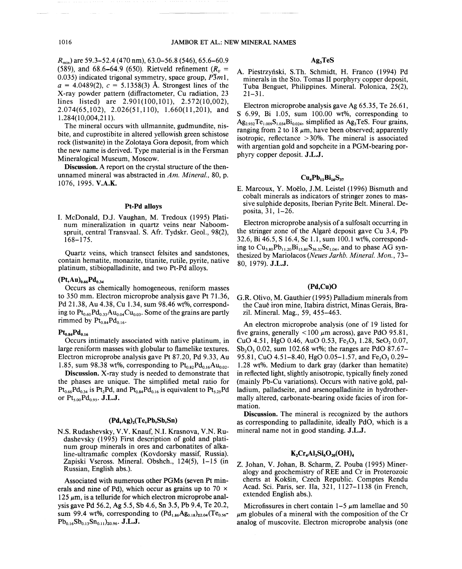*Rmin)* are 59.3-52.4 (470 nm), 63.0-56.8 (546), 65.6-60.9 (589), and  $68.6 - 64.9$  (650). Rietveld refinement  $(R_F =$ 0.035) indicated trigonal symmetry, space group,  $\overline{P3}m1$ ,  $a = 4.0489(2)$ ,  $c = 5.1358(3)$  Å. Strongest lines of the X-ray powder pattern (diffractometer, Cu radiation, 23 lines listed) are 2.901(100,101), 2.572(10,002),  $2.074(65,102)$ ,  $2.026(51,110)$ ,  $1.660(11,201)$ , and 1.284( 10,004,211).

The mineral occurs with ullmannite, gudmundite, nisbite, and cuprostibite in altered yellowish green schistose rock (listwanite) in the Zolotaya Gora deposit, from which the new name is derived. Type material is in the Fersman Mineralogical Museum, Moscow.

Discussion. A report on the crystal structure of the thenunnamed mineral was abstracted in *Am. Mineral.,* 80, p. 1076, 1995. V.A.K.

## Pt-Pd alloys

I. McDonald, *D.l.* Vaughan, M. Tredoux (1995) Platinum mineralization in quartz veins near Naboomspruit, central Transvaal. S. Afr. Tydskr. Geol., 98(2), 168-175.

Quartz veins, which transect felsites and sandstones, contain hematite, monazite, titanite, rutile, pyrite, native platinum, stibiopalladinite, and two Pt-Pd alloys.

## $(Pt, Au)_{0.66}Pd_{0.34}$

Occurs as chemically homogeneous, reniform masses to 350 mm. Electron microprobe analysis gave Pt 71.36, Pd 21.38, Au 4.38, Cu 1.34, sum 98.46 wt%, corresponding to  $\text{Pt}_{0.60}\text{Pd}_{0.33}\text{Au}_{0.04}\text{Cu}_{0.03}$ . Some of the grains are partly rimmed by  $Pt_{0.84}Pd_{0.16}$ .

#### $Pt_{0.84}Pd_{0.16}$

Occurs intimately associated with native platinum, in large reniform masses with globular to flamelike textures. Electron microprobe analysis gave Pt 87.20, Pd 9.33, Au 1.85, sum 98.38 wt%, corresponding to  $Pt_{0.82}Pd_{0.16}Au_{0.02}$ .

Discussion. X-ray study is needed to demonstrate that the phases are unique. The simplified metal ratio for  $Pt_{0.66}Pd_{0.34}$  is Pt<sub>2</sub>Pd, and Pt<sub>0.84</sub>Pd<sub>0.16</sub> is equivalent to Pt<sub>5.25</sub>Pd or  $Pt_{5.00}Pd_{0.95}$ . J.L.J.

## $(Pd, Ag)$ <sub>2</sub> $(Te, Pb, Sb, Sn)$

N.S. Rudashevsky, V.V. Knauf, N.I. Krasnova, V.N. Rudashevsky (1995) First description of gold and platinum group minerals in ores and carbonatites of alkaline-ultramafic complex (Kovdorsky massif, Russia). Zapiski Vseross. Mineral. Obshch., 124(5), 1-15 (in Russian, English abs.).

Associated with numerous other PGMs (seven Pt minerals and nine of Pd), which occur as grains up to 70  $\times$  $125 \mu m$ , is a telluride for which electron microprobe analysis gave Pd 56.2, Ag 5.5, Sb 4.6, Sn 3.5, Pb 9.4, Te 20.2, sum 99.4 wt%, corresponding to  $(Pd_{1.86}Ag_{0.18})_{z_{2.04}}(Te_{0.56} Pb_{0.16}Sb_{0.13}Sn_{0.11}$ <sub>20.96</sub>. J.L.J.

## Ag, TeS

A. Piestrzyński, S.Th. Schmidt, H. Franco (1994) Pd minerals in the Sto. Tomas II porphyry copper deposit, Tuba Benguet, Philippines. Mineral. Polonica, 25(2),  $21 - 31$ .

Electron microprobe analysis gave Ag 65.35, Te 26.61, S 6.99, Bi 1.05, sum 100.00 wt%, corresponding to  $Ag_{2.932}Te_{1.009}S_{1.034}Bi_{0.024}$ , simplified as Ag<sub>3</sub>TeS. Four grains, ranging from 2 to 18  $\mu$ m, have been observed; apparently isotropic, reflectance  $>30\%$ . The mineral is associated with argentian gold and sopcheite in a PGM-bearing porphyry copper deposit. J.L.J.

## $Cu<sub>4</sub>Pb<sub>11</sub>Bi<sub>16</sub>S<sub>37</sub>$

E. Marcoux, Y. Moelo, *1.M.* Leistel (1996) Bismuth and cobalt minerals as indicators of stringer zones to massive sulphide deposits, Iberian Pyrite Belt. Mineral. Deposita, 31, 1-26.

Electron microprobe analysis of a sulfosalt occurring in the stringer zone of the Algare deposit gave Cu 3.4, Pb 32.6, Bi 46.5, S 16.4, Se 1.1, sum 100.1 wt%, corresponding to  $Cu_{3.80}Pb_{11.20}Bi_{15.80}S_{36.32}Se_{1.04}$ , and to phase AG synthesized by Mariolacos *(Neues Jarhb. Mineral. Mon., 73-* 80, 1979). J.L.J.

## (Pd,Cu)O

G.R. Olivo, M. Gauthier (1995) Palladium minerals from the Cauê iron mine, Itabira district, Minas Gerais, Brazil. Mineral. Mag., 59, 455-463.

An electron microprobe analysis (one of 19 listed for five grains, generally  $\langle 100 \mu m \text{ across} \rangle$ , gave PdO 95.81, CuO 4.51, HgO 0.46, AuO 0.53, Fe<sub>2</sub>O<sub>3</sub> 1.28, SeO<sub>2</sub> 0.07,  $Sb<sub>2</sub>O<sub>5</sub> 0.02$ , sum 102.68 wt%; the ranges are PdO 87.67-95.81, CuO 4.51–8.40, HgO  $0.05-1.57$ , and Fe<sub>2</sub>O<sub>3</sub> 0.29– 1.28 wt%. Medium to dark gray (darker than hematite) in reflected light, slightly anisotropic, typically finely zoned (mainly Pb-Cu variations). Occurs with native gold, palladium, palladseite, and arsenopalladinite in hydrothermally altered, carbonate-bearing oxide facies of iron formation.

Discussion. The mineral is recognized by the authors as corresponding to palladinite, ideally PdO, which is a mineral name not in good standing. J.L.J.

#### $K_2$ Cr<sub>4</sub>Al<sub>2</sub>Si<sub>6</sub>O<sub>20</sub>(OH)

° Z. lohan, V. lohan, B. Scharm, Z. Pouba (1995) Mineralogy and geochemistry of REE and Cr in Proterozoic cherts at Koksin, Czech Republic. Comptes Rendu Acad. Sci. Paris, ser. IIa, 321, 1127-1138 (in French, extended English abs.).

Microfissures in chert contain  $1-5 \mu m$  lamellae and 50  $\mu$ m globules of a mineral with the composition of the Cr analog of muscovite. Electron microprobe analysis (one